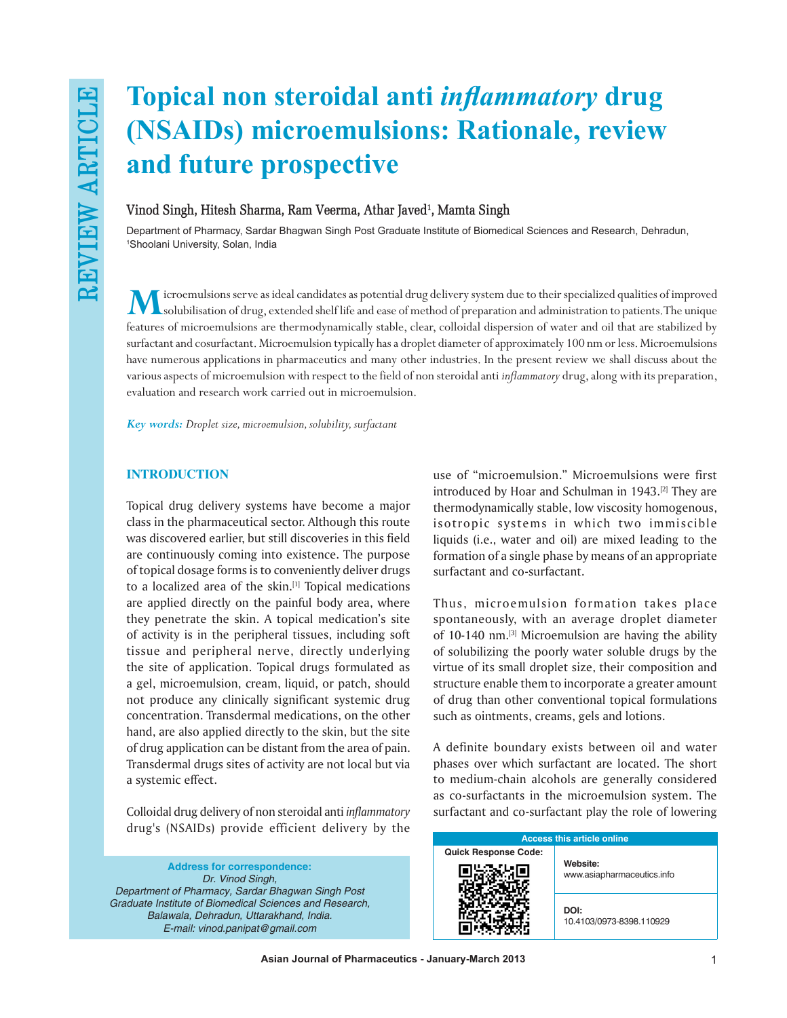# **Topical non steroidal anti** *inflammatory* **drug (NSAIDs) microemulsions: Rationale, review and future prospective**

# **Vinod Singh, Hitesh Sharma, Ram Veerma, Athar Javed1 , Mamta Singh**

Department of Pharmacy, Sardar Bhagwan Singh Post Graduate Institute of Biomedical Sciences and Research, Dehradun, 1 Shoolani University, Solan, India

**M**icroemulsions serve as ideal candidates as potential drug delivery system due to their specialized qualities of improved solubilisation of drug, extended shelf life and ease of method of preparation and administration to patients. The unique features of microemulsions are thermodynamically stable, clear, colloidal dispersion of water and oil that are stabilized by surfactant and cosurfactant. Microemulsion typically has a droplet diameter of approximately 100 nm or less. Microemulsions have numerous applications in pharmaceutics and many other industries. In the present review we shall discuss about the various aspects of microemulsion with respect to the field of non steroidal anti *inflammatory* drug, along with its preparation, evaluation and research work carried out in microemulsion.

*Key words: Droplet size, microemulsion, solubility, surfactant*

# **INTRODUCTION**

Topical drug delivery systems have become a major class in the pharmaceutical sector. Although this route was discovered earlier, but still discoveries in this field are continuously coming into existence. The purpose of topical dosage forms is to conveniently deliver drugs to a localized area of the skin.[1] Topical medications are applied directly on the painful body area, where they penetrate the skin. A topical medication's site of activity is in the peripheral tissues, including soft tissue and peripheral nerve, directly underlying the site of application. Topical drugs formulated as a gel, microemulsion, cream, liquid, or patch, should not produce any clinically significant systemic drug concentration. Transdermal medications, on the other hand, are also applied directly to the skin, but the site of drug application can be distant from the area of pain. Transdermal drugs sites of activity are not local but via a systemic effect.

Colloidal drug delivery of non steroidal anti *inflammatory* drug's (NSAIDs) provide efficient delivery by the

**Address for correspondence:** *Dr. Vinod Singh, Department of Pharmacy, Sardar Bhagwan Singh Post Graduate Institute of Biomedical Sciences and Research, Balawala, Dehradun, Uttarakhand, India. E‑mail: vinod.panipat@gmail.com*

use of "microemulsion." Microemulsions were first introduced by Hoar and Schulman in 1943.[2] They are thermodynamically stable, low viscosity homogenous, isotropic systems in which two immiscible liquids (i.e., water and oil) are mixed leading to the formation of a single phase by means of an appropriate surfactant and co-surfactant.

Thus, microemulsion formation takes place spontaneously, with an average droplet diameter of 10-140 nm.<sup>[3]</sup> Microemulsion are having the ability of solubilizing the poorly water soluble drugs by the virtue of its small droplet size, their composition and structure enable them to incorporate a greater amount of drug than other conventional topical formulations such as ointments, creams, gels and lotions.

A definite boundary exists between oil and water phases over which surfactant are located. The short to medium‑chain alcohols are generally considered as co‑surfactants in the microemulsion system. The surfactant and co-surfactant play the role of lowering

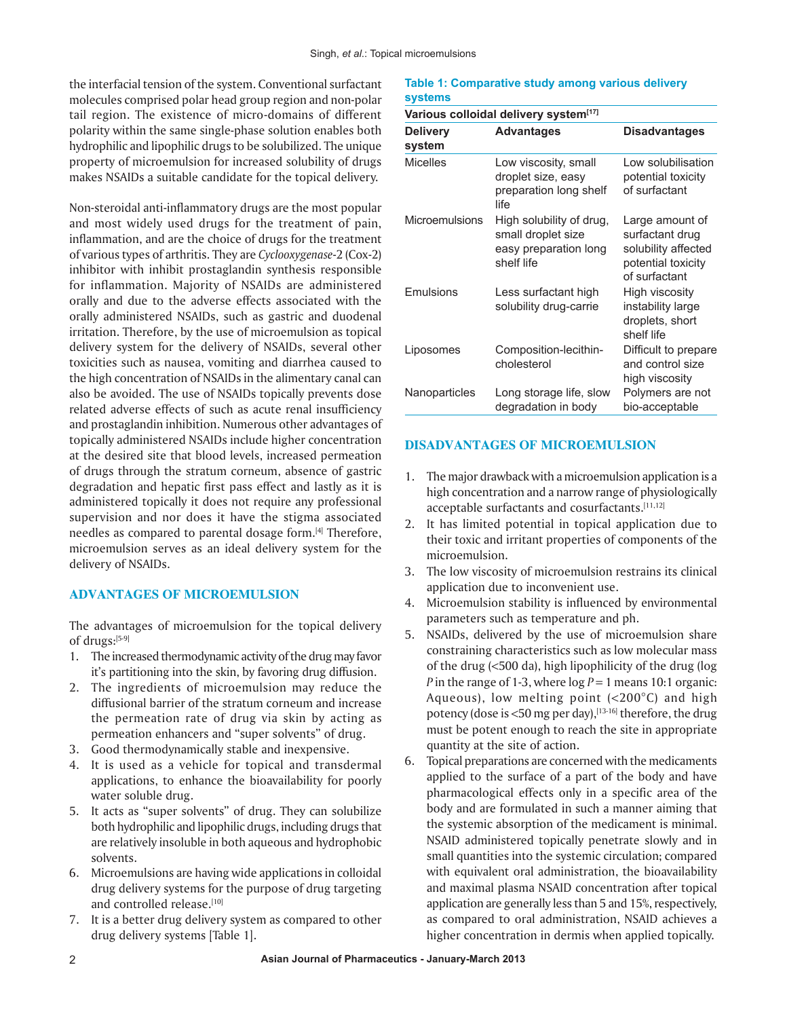the interfacial tension of the system. Conventional surfactant molecules comprised polar head group region and non‑polar tail region. The existence of micro‑domains of different polarity within the same single‑phase solution enables both hydrophilic and lipophilic drugs to be solubilized. The unique property of microemulsion for increased solubility of drugs makes NSAIDs a suitable candidate for the topical delivery.

Non‑steroidal anti‑inflammatory drugs are the most popular and most widely used drugs for the treatment of pain, inflammation, and are the choice of drugs for the treatment of various types of arthritis. They are *Cyclooxygenase*-2 (Cox‑2) inhibitor with inhibit prostaglandin synthesis responsible for inflammation. Majority of NSAIDs are administered orally and due to the adverse effects associated with the orally administered NSAIDs, such as gastric and duodenal irritation. Therefore, by the use of microemulsion as topical delivery system for the delivery of NSAIDs, several other toxicities such as nausea, vomiting and diarrhea caused to the high concentration of NSAIDs in the alimentary canal can also be avoided. The use of NSAIDs topically prevents dose related adverse effects of such as acute renal insufficiency and prostaglandin inhibition. Numerous other advantages of topically administered NSAIDs include higher concentration at the desired site that blood levels, increased permeation of drugs through the stratum corneum, absence of gastric degradation and hepatic first pass effect and lastly as it is administered topically it does not require any professional supervision and nor does it have the stigma associated needles as compared to parental dosage form.[4] Therefore, microemulsion serves as an ideal delivery system for the delivery of NSAIDs.

# **ADVANTAGES OF MICROEMULSION**

The advantages of microemulsion for the topical delivery of drugs:[5‑9]

- 1. The increased thermodynamic activity of the drug may favor it's partitioning into the skin, by favoring drug diffusion.
- 2. The ingredients of microemulsion may reduce the diffusional barrier of the stratum corneum and increase the permeation rate of drug via skin by acting as permeation enhancers and "super solvents" of drug.
- 3. Good thermodynamically stable and inexpensive.
- 4. It is used as a vehicle for topical and transdermal applications, to enhance the bioavailability for poorly water soluble drug.
- 5. It acts as "super solvents" of drug. They can solubilize both hydrophilic and lipophilic drugs, including drugs that are relatively insoluble in both aqueous and hydrophobic solvents.
- 6. Microemulsions are having wide applications in colloidal drug delivery systems for the purpose of drug targeting and controlled release.[10]
- 7. It is a better drug delivery system as compared to other drug delivery systems [Table 1].

## **Table 1: Comparative study among various delivery systems**

| Various colloidal delivery system <sup>[17]</sup> |                                                                                       |                                                                                                  |
|---------------------------------------------------|---------------------------------------------------------------------------------------|--------------------------------------------------------------------------------------------------|
| <b>Delivery</b><br>system                         | <b>Advantages</b>                                                                     | <b>Disadvantages</b>                                                                             |
| <b>Micelles</b>                                   | Low viscosity, small<br>droplet size, easy<br>preparation long shelf<br>life          | Low solubilisation<br>potential toxicity<br>of surfactant                                        |
| Microemulsions                                    | High solubility of drug,<br>small droplet size<br>easy preparation long<br>shelf life | Large amount of<br>surfactant drug<br>solubility affected<br>potential toxicity<br>of surfactant |
| Emulsions                                         | Less surfactant high<br>solubility drug-carrie                                        | High viscosity<br>instability large<br>droplets, short<br>shelf life                             |
| Liposomes                                         | Composition-lecithin-<br>cholesterol                                                  | Difficult to prepare<br>and control size<br>high viscosity                                       |
| Nanoparticles                                     | Long storage life, slow<br>degradation in body                                        | Polymers are not<br>bio-acceptable                                                               |

## **DISADVANTAGES OF MICROEMULSION**

- 1. The major drawback with a microemulsion application is a high concentration and a narrow range of physiologically acceptable surfactants and cosurfactants.[11,12]
- 2. It has limited potential in topical application due to their toxic and irritant properties of components of the microemulsion.
- 3. The low viscosity of microemulsion restrains its clinical application due to inconvenient use.
- 4. Microemulsion stability is influenced by environmental parameters such as temperature and ph.
- 5. NSAIDs, delivered by the use of microemulsion share constraining characteristics such as low molecular mass of the drug (<500 da), high lipophilicity of the drug (log *P* in the range of 1-3, where  $log P = 1$  means 10:1 organic: Aqueous), low melting point  $(<200^{\circ}C$ ) and high potency (dose is <50 mg per day), <a>[13-16]</a> therefore, the drug must be potent enough to reach the site in appropriate quantity at the site of action.
- 6. Topical preparations are concerned with the medicaments applied to the surface of a part of the body and have pharmacological effects only in a specific area of the body and are formulated in such a manner aiming that the systemic absorption of the medicament is minimal. NSAID administered topically penetrate slowly and in small quantities into the systemic circulation; compared with equivalent oral administration, the bioavailability and maximal plasma NSAID concentration after topical application are generally less than 5 and 15%, respectively, as compared to oral administration, NSAID achieves a higher concentration in dermis when applied topically.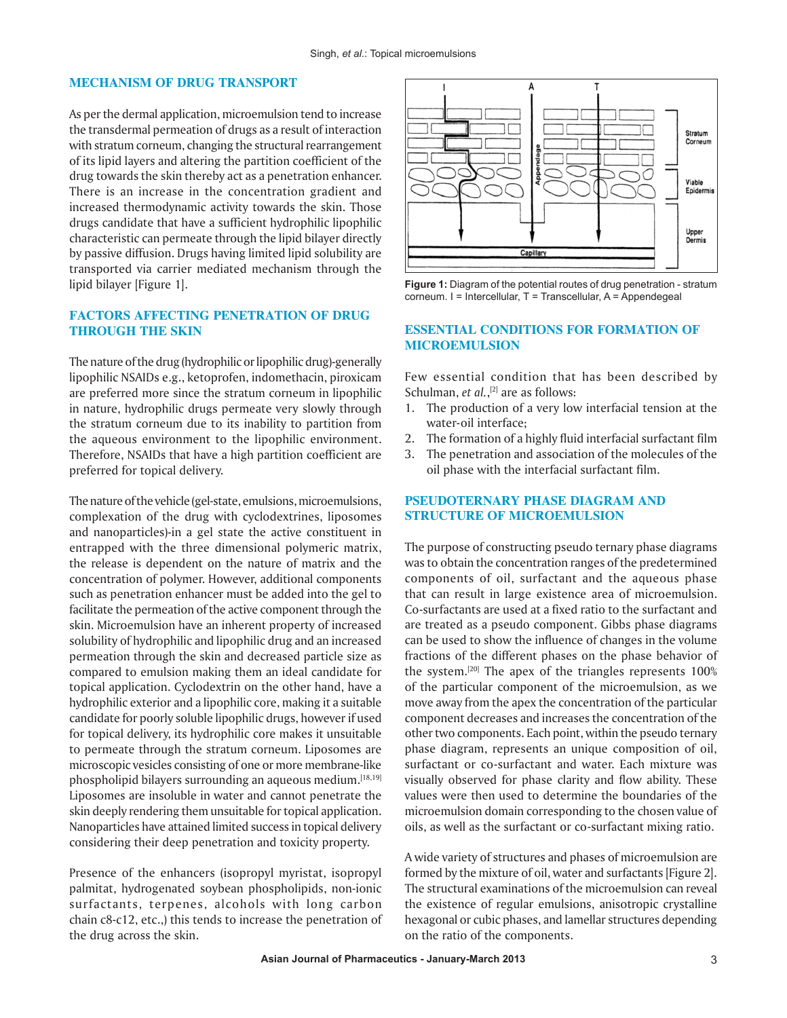## **MECHANISM OF DRUG TRANSPORT**

As per the dermal application, microemulsion tend to increase the transdermal permeation of drugs as a result of interaction with stratum corneum, changing the structural rearrangement of its lipid layers and altering the partition coefficient of the drug towards the skin thereby act as a penetration enhancer. There is an increase in the concentration gradient and increased thermodynamic activity towards the skin. Those drugs candidate that have a sufficient hydrophilic lipophilic characteristic can permeate through the lipid bilayer directly by passive diffusion. Drugs having limited lipid solubility are transported via carrier mediated mechanism through the lipid bilayer [Figure 1].

# **FACTORS AFFECTING PENETRATION OF DRUG THROUGH THE SKIN**

The nature of the drug (hydrophilic or lipophilic drug)‑generally lipophilic NSAIDs e.g., ketoprofen, indomethacin, piroxicam are preferred more since the stratum corneum in lipophilic in nature, hydrophilic drugs permeate very slowly through the stratum corneum due to its inability to partition from the aqueous environment to the lipophilic environment. Therefore, NSAIDs that have a high partition coefficient are preferred for topical delivery.

The nature of the vehicle (gel-state, emulsions, microemulsions, complexation of the drug with cyclodextrines, liposomes and nanoparticles)‑in a gel state the active constituent in entrapped with the three dimensional polymeric matrix, the release is dependent on the nature of matrix and the concentration of polymer. However, additional components such as penetration enhancer must be added into the gel to facilitate the permeation of the active component through the skin. Microemulsion have an inherent property of increased solubility of hydrophilic and lipophilic drug and an increased permeation through the skin and decreased particle size as compared to emulsion making them an ideal candidate for topical application. Cyclodextrin on the other hand, have a hydrophilic exterior and a lipophilic core, making it a suitable candidate for poorly soluble lipophilic drugs, however if used for topical delivery, its hydrophilic core makes it unsuitable to permeate through the stratum corneum. Liposomes are microscopic vesicles consisting of one or more membrane‑like phospholipid bilayers surrounding an aqueous medium.[18,19] Liposomes are insoluble in water and cannot penetrate the skin deeply rendering them unsuitable for topical application. Nanoparticles have attained limited success in topical delivery considering their deep penetration and toxicity property.

Presence of the enhancers (isopropyl myristat, isopropyl palmitat, hydrogenated soybean phospholipids, non‑ionic surfactants, terpenes, alcohols with long carbon chain c8‑c12, etc.,) this tends to increase the penetration of the drug across the skin.



**Figure 1:** Diagram of the potential routes of drug penetration - stratum corneum. I = Intercellular, T = Transcellular, A = Appendegeal

# **ESSENTIAL CONDITIONS FOR FORMATION OF MICROEMULSION**

Few essential condition that has been described by Schulman, *et al.*, [2] are as follows:

- 1. The production of a very low interfacial tension at the water-oil interface;
- 2. The formation of a highly fluid interfacial surfactant film
- 3. The penetration and association of the molecules of the oil phase with the interfacial surfactant film.

# **PSEUDOTERNARY PHASE DIAGRAM AND STRUCTURE OF MICROEMULSION**

The purpose of constructing pseudo ternary phase diagrams was to obtain the concentration ranges of the predetermined components of oil, surfactant and the aqueous phase that can result in large existence area of microemulsion. Co‑surfactants are used at a fixed ratio to the surfactant and are treated as a pseudo component. Gibbs phase diagrams can be used to show the influence of changes in the volume fractions of the different phases on the phase behavior of the system.[20] The apex of the triangles represents 100% of the particular component of the microemulsion, as we move away from the apex the concentration of the particular component decreases and increases the concentration of the other two components. Each point, within the pseudo ternary phase diagram, represents an unique composition of oil, surfactant or co-surfactant and water. Each mixture was visually observed for phase clarity and flow ability. These values were then used to determine the boundaries of the microemulsion domain corresponding to the chosen value of oils, as well as the surfactant or co‑surfactant mixing ratio.

A wide variety of structures and phases of microemulsion are formed by the mixture of oil, water and surfactants [Figure 2]. The structural examinations of the microemulsion can reveal the existence of regular emulsions, anisotropic crystalline hexagonal or cubic phases, and lamellar structures depending on the ratio of the components.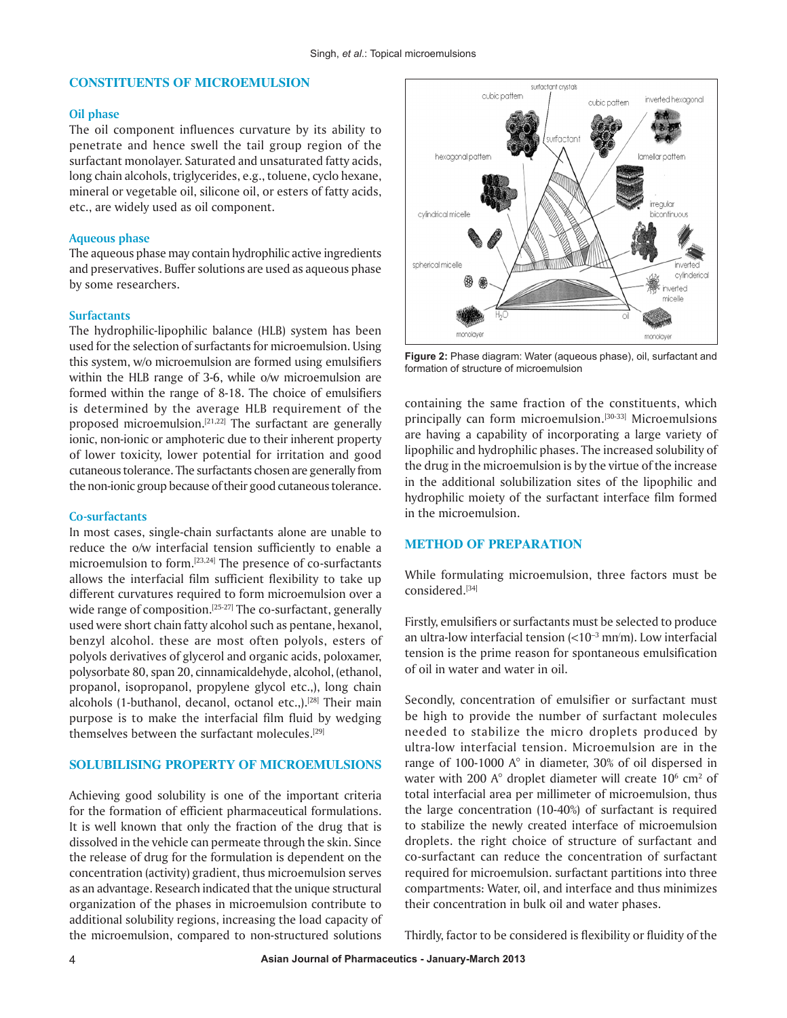## **CONSTITUENTS OF MICROEMULSION**

#### **Oil phase**

The oil component influences curvature by its ability to penetrate and hence swell the tail group region of the surfactant monolayer. Saturated and unsaturated fatty acids, long chain alcohols, triglycerides, e.g., toluene, cyclo hexane, mineral or vegetable oil, silicone oil, or esters of fatty acids, etc., are widely used as oil component.

## **Aqueous phase**

The aqueous phase may contain hydrophilic active ingredients and preservatives. Buffer solutions are used as aqueous phase by some researchers.

#### **Surfactants**

The hydrophilic-lipophilic balance (HLB) system has been used for the selection of surfactants for microemulsion. Using this system, w/o microemulsion are formed using emulsifiers within the HLB range of 3-6, while o/w microemulsion are formed within the range of 8‑18. The choice of emulsifiers is determined by the average HLB requirement of the proposed microemulsion.<sup>[21,22]</sup> The surfactant are generally ionic, non-ionic or amphoteric due to their inherent property of lower toxicity, lower potential for irritation and good cutaneous tolerance. The surfactants chosen are generally from the non‑ionic group because of their good cutaneous tolerance.

#### **Co‑surfactants**

In most cases, single‑chain surfactants alone are unable to reduce the o/w interfacial tension sufficiently to enable a microemulsion to form.<sup>[23,24]</sup> The presence of co-surfactants allows the interfacial film sufficient flexibility to take up different curvatures required to form microemulsion over a wide range of composition.<sup>[25-27]</sup> The co-surfactant, generally used were short chain fatty alcohol such as pentane, hexanol, benzyl alcohol. these are most often polyols, esters of polyols derivatives of glycerol and organic acids, poloxamer, polysorbate 80, span 20, cinnamicaldehyde, alcohol, (ethanol, propanol, isopropanol, propylene glycol etc.,), long chain alcohols (1-buthanol, decanol, octanol etc.,).<sup>[28]</sup> Their main purpose is to make the interfacial film fluid by wedging themselves between the surfactant molecules.<sup>[29]</sup>

# **SOLUBILISING PROPERTY OF MICROEMULSIONS**

Achieving good solubility is one of the important criteria for the formation of efficient pharmaceutical formulations. It is well known that only the fraction of the drug that is dissolved in the vehicle can permeate through the skin. Since the release of drug for the formulation is dependent on the concentration (activity) gradient, thus microemulsion serves as an advantage. Research indicated that the unique structural organization of the phases in microemulsion contribute to additional solubility regions, increasing the load capacity of the microemulsion, compared to non‑structured solutions



**Figure 2:** Phase diagram: Water (aqueous phase), oil, surfactant and formation of structure of microemulsion

containing the same fraction of the constituents, which principally can form microemulsion.<sup>[30-33]</sup> Microemulsions are having a capability of incorporating a large variety of lipophilic and hydrophilic phases. The increased solubility of the drug in the microemulsion is by the virtue of the increase in the additional solubilization sites of the lipophilic and hydrophilic moiety of the surfactant interface film formed in the microemulsion.

# **METHOD OF PREPARATION**

While formulating microemulsion, three factors must be considered.[34]

Firstly, emulsifiers or surfactants must be selected to produce an ultra-low interfacial tension  $\left($  < 10<sup>-3</sup> mn $\left($ m). Low interfacial tension is the prime reason for spontaneous emulsification of oil in water and water in oil.

Secondly, concentration of emulsifier or surfactant must be high to provide the number of surfactant molecules needed to stabilize the micro droplets produced by ultra‑low interfacial tension. Microemulsion are in the range of 100‑1000 A° in diameter, 30% of oil dispersed in water with 200  $A^{\circ}$  droplet diameter will create  $10^6$  cm<sup>2</sup> of total interfacial area per millimeter of microemulsion, thus the large concentration (10‑40%) of surfactant is required to stabilize the newly created interface of microemulsion droplets. the right choice of structure of surfactant and co‑surfactant can reduce the concentration of surfactant required for microemulsion. surfactant partitions into three compartments: Water, oil, and interface and thus minimizes their concentration in bulk oil and water phases.

Thirdly, factor to be considered is flexibility or fluidity of the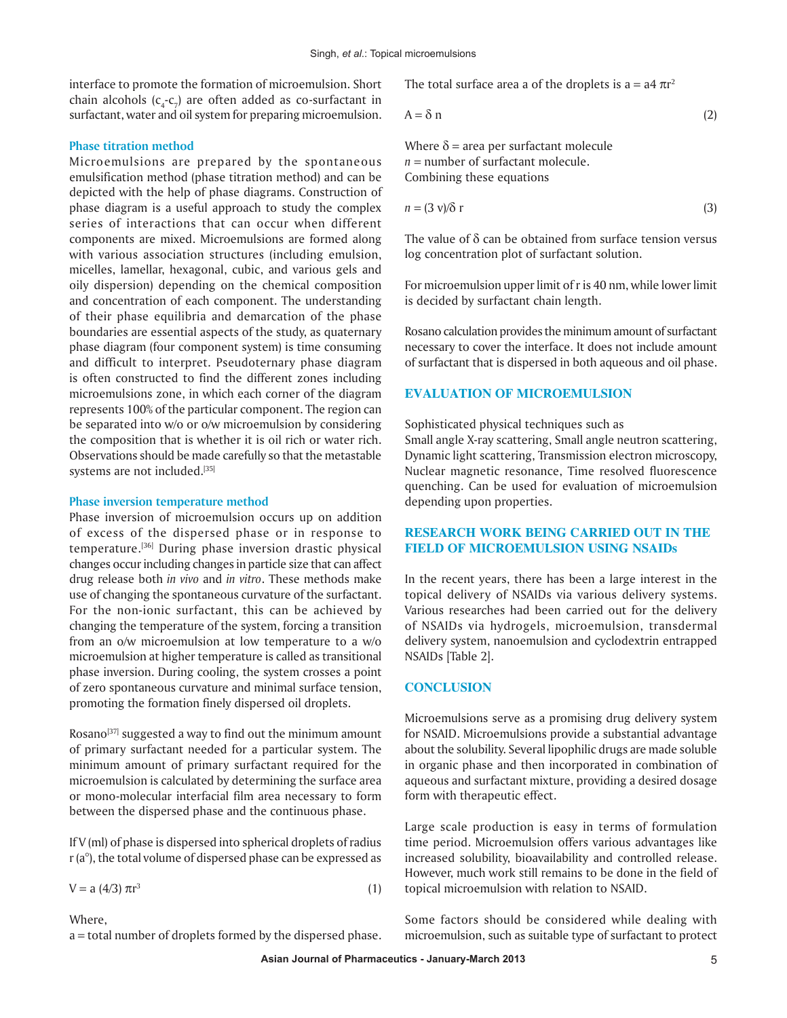interface to promote the formation of microemulsion. Short chain alcohols ( $c_4$ - $c_7$ ) are often added as co-surfactant in surfactant, water and oil system for preparing microemulsion.

## **Phase titration method**

Microemulsions are prepared by the spontaneous emulsification method (phase titration method) and can be depicted with the help of phase diagrams. Construction of phase diagram is a useful approach to study the complex series of interactions that can occur when different components are mixed. Microemulsions are formed along with various association structures (including emulsion, micelles, lamellar, hexagonal, cubic, and various gels and oily dispersion) depending on the chemical composition and concentration of each component. The understanding of their phase equilibria and demarcation of the phase boundaries are essential aspects of the study, as quaternary phase diagram (four component system) is time consuming and difficult to interpret. Pseudoternary phase diagram is often constructed to find the different zones including microemulsions zone, in which each corner of the diagram represents 100% of the particular component. The region can be separated into w/o or o/w microemulsion by considering the composition that is whether it is oil rich or water rich. Observations should be made carefully so that the metastable systems are not included.<sup>[35]</sup>

#### **Phase inversion temperature method**

Phase inversion of microemulsion occurs up on addition of excess of the dispersed phase or in response to temperature.[36] During phase inversion drastic physical changes occur including changes in particle size that can affect drug release both *in vivo* and *in vitro*. These methods make use of changing the spontaneous curvature of the surfactant. For the non-ionic surfactant, this can be achieved by changing the temperature of the system, forcing a transition from an o/w microemulsion at low temperature to a w/o microemulsion at higher temperature is called as transitional phase inversion. During cooling, the system crosses a point of zero spontaneous curvature and minimal surface tension, promoting the formation finely dispersed oil droplets.

Rosano<sup>[37]</sup> suggested a way to find out the minimum amount of primary surfactant needed for a particular system. The minimum amount of primary surfactant required for the microemulsion is calculated by determining the surface area or mono‑molecular interfacial film area necessary to form between the dispersed phase and the continuous phase.

If V (ml) of phase is dispersed into spherical droplets of radius  $r(a<sup>o</sup>)$ , the total volume of dispersed phase can be expressed as

$$
V = a (4/3) \pi r^3 \tag{1}
$$

Where

a = total number of droplets formed by the dispersed phase.

The total surface area a of the droplets is  $a = a4 \pi r^2$ 

$$
A = \delta n \tag{2}
$$

Where  $\delta$  = area per surfactant molecule  $n =$  number of surfactant molecule. Combining these equations

$$
n = (3 \text{ v})/\delta \text{ r} \tag{3}
$$

The value of  $\delta$  can be obtained from surface tension versus log concentration plot of surfactant solution.

For microemulsion upper limit of r is 40 nm, while lower limit is decided by surfactant chain length.

Rosano calculation provides the minimum amount of surfactant necessary to cover the interface. It does not include amount of surfactant that is dispersed in both aqueous and oil phase.

## **EVALUATION OF MICROEMULSION**

Sophisticated physical techniques such as

Small angle X-ray scattering, Small angle neutron scattering, Dynamic light scattering, Transmission electron microscopy, Nuclear magnetic resonance, Time resolved fluorescence quenching. Can be used for evaluation of microemulsion depending upon properties.

## **RESEARCH WORK BEING CARRIED OUT IN THE FIELD OF MICROEMULSION USING NSAIDs**

In the recent years, there has been a large interest in the topical delivery of NSAIDs via various delivery systems. Various researches had been carried out for the delivery of NSAIDs via hydrogels, microemulsion, transdermal delivery system, nanoemulsion and cyclodextrin entrapped NSAIDs [Table 2].

#### **CONCLUSION**

Microemulsions serve as a promising drug delivery system for NSAID. Microemulsions provide a substantial advantage about the solubility. Several lipophilic drugs are made soluble in organic phase and then incorporated in combination of aqueous and surfactant mixture, providing a desired dosage form with therapeutic effect.

Large scale production is easy in terms of formulation time period. Microemulsion offers various advantages like increased solubility, bioavailability and controlled release. However, much work still remains to be done in the field of topical microemulsion with relation to NSAID.

Some factors should be considered while dealing with microemulsion, such as suitable type of surfactant to protect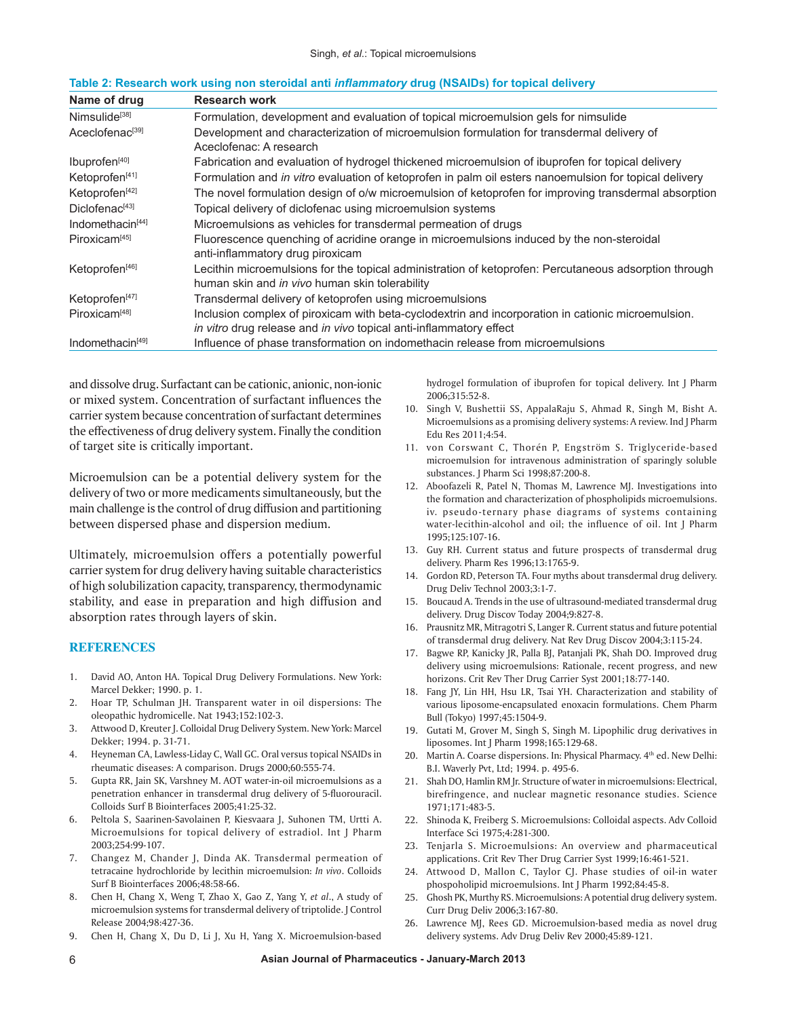| Name of drug                 | <b>Research work</b>                                                                                                                                                     |  |
|------------------------------|--------------------------------------------------------------------------------------------------------------------------------------------------------------------------|--|
| Nimsulide <sup>[38]</sup>    | Formulation, development and evaluation of topical microemulsion gels for nimsulide                                                                                      |  |
| Aceclofenac <sup>[39]</sup>  | Development and characterization of microemulsion formulation for transdermal delivery of<br>Aceclofenac: A research                                                     |  |
| Ibuprofen <sup>[40]</sup>    | Fabrication and evaluation of hydrogel thickened microemulsion of ibuprofen for topical delivery                                                                         |  |
| Ketoprofen <sup>[41]</sup>   | Formulation and in vitro evaluation of ketoprofen in palm oil esters nanoemulsion for topical delivery                                                                   |  |
| Ketoprofen <sup>[42]</sup>   | The novel formulation design of o/w microemulsion of ketoprofen for improving transdermal absorption                                                                     |  |
| Diclofenac <sup>[43]</sup>   | Topical delivery of diclofenac using microemulsion systems                                                                                                               |  |
| Indomethacin <sup>[44]</sup> | Microemulsions as vehicles for transdermal permeation of drugs                                                                                                           |  |
| Piroxicam <sup>[45]</sup>    | Fluorescence quenching of acridine orange in microemulsions induced by the non-steroidal<br>anti-inflammatory drug piroxicam                                             |  |
| Ketoprofen <sup>[46]</sup>   | Lecithin microemulsions for the topical administration of ketoprofen: Percutaneous adsorption through<br>human skin and in vivo human skin tolerability                  |  |
| Ketoprofen <sup>[47]</sup>   | Transdermal delivery of ketoprofen using microemulsions                                                                                                                  |  |
| Piroxicam <sup>[48]</sup>    | Inclusion complex of piroxicam with beta-cyclodextrin and incorporation in cationic microemulsion.<br>in vitro drug release and in vivo topical anti-inflammatory effect |  |
| Indomethacin <sup>[49]</sup> | Influence of phase transformation on indomethacin release from microemulsions                                                                                            |  |

#### **Table 2: Research work using non steroidal anti** *inflammatory* **drug (NSAIDs) for topical delivery**

and dissolve drug. Surfactant can be cationic, anionic, non‑ionic or mixed system. Concentration of surfactant influences the carrier system because concentration of surfactant determines the effectiveness of drug delivery system. Finally the condition of target site is critically important.

Microemulsion can be a potential delivery system for the delivery of two or more medicaments simultaneously, but the main challenge is the control of drug diffusion and partitioning between dispersed phase and dispersion medium.

Ultimately, microemulsion offers a potentially powerful carrier system for drug delivery having suitable characteristics of high solubilization capacity, transparency, thermodynamic stability, and ease in preparation and high diffusion and absorption rates through layers of skin.

## **REFERENCES**

- 1. David AO, Anton HA. Topical Drug Delivery Formulations. New York: Marcel Dekker; 1990. p. 1.
- 2. Hoar TP, Schulman JH. Transparent water in oil dispersions: The oleopathic hydromicelle. Nat 1943;152:102‑3.
- 3. Attwood D, Kreuter J. Colloidal Drug Delivery System. New York: Marcel Dekker; 1994. p. 31‑71.
- 4. Heyneman CA, Lawless‑Liday C, Wall GC. Oral versus topical NSAIDs in rheumatic diseases: A comparison. Drugs 2000;60:555‑74.
- 5. Gupta RR, Jain SK, Varshney M. AOT water‑in‑oil microemulsions as a penetration enhancer in transdermal drug delivery of 5‑fluorouracil. Colloids Surf B Biointerfaces 2005;41:25‑32.
- 6. Peltola S, Saarinen‑Savolainen P, Kiesvaara J, Suhonen TM, Urtti A. Microemulsions for topical delivery of estradiol. Int J Pharm 2003;254:99‑107.
- 7. Changez M, Chander J, Dinda AK. Transdermal permeation of tetracaine hydrochloride by lecithin microemulsion: *In vivo*. Colloids Surf B Biointerfaces 2006;48:58‑66.
- 8. Chen H, Chang X, Weng T, Zhao X, Gao Z, Yang Y, *et al*., A study of microemulsion systems for transdermal delivery of triptolide. J Control Release 2004;98:427‑36.
- 9. Chen H, Chang X, Du D, Li J, Xu H, Yang X. Microemulsion-based

hydrogel formulation of ibuprofen for topical delivery. Int J Pharm 2006;315:52‑8.

- 10. Singh V, Bushettii SS, AppalaRaju S, Ahmad R, Singh M, Bisht A. Microemulsions as a promising delivery systems: A review. Ind J Pharm Edu Res 2011;4:54.
- 11. von Corswant C, Thorén P, Engström S. Triglyceride-based microemulsion for intravenous administration of sparingly soluble substances. J Pharm Sci 1998;87:200‑8.
- 12. Aboofazeli R, Patel N, Thomas M, Lawrence MJ. Investigations into the formation and characterization of phospholipids microemulsions. iv. pseudo-ternary phase diagrams of systems containing water-lecithin-alcohol and oil; the influence of oil. Int J Pharm 1995;125:107‑16.
- 13. Guy RH. Current status and future prospects of transdermal drug delivery. Pharm Res 1996;13:1765‑9.
- 14. Gordon RD, Peterson TA. Four myths about transdermal drug delivery. Drug Deliv Technol 2003;3:1‑7.
- 15. Boucaud A. Trends in the use of ultrasound‑mediated transdermal drug delivery. Drug Discov Today 2004;9:827‑8.
- 16. Prausnitz MR, Mitragotri S, Langer R. Current status and future potential of transdermal drug delivery. Nat Rev Drug Discov 2004;3:115‑24.
- 17. Bagwe RP, Kanicky JR, Palla BJ, Patanjali PK, Shah DO. Improved drug delivery using microemulsions: Rationale, recent progress, and new horizons. Crit Rev Ther Drug Carrier Syst 2001;18:77‑140.
- 18. Fang JY, Lin HH, Hsu LR, Tsai YH. Characterization and stability of various liposome‑encapsulated enoxacin formulations. Chem Pharm Bull (Tokyo) 1997;45:1504‑9.
- 19. Gutati M, Grover M, Singh S, Singh M. Lipophilic drug derivatives in liposomes. Int J Pharm 1998;165:129‑68.
- 20. Martin A. Coarse dispersions. In: Physical Pharmacy. 4<sup>th</sup> ed. New Delhi: B.I. Waverly Pvt, Ltd; 1994. p. 495‑6.
- 21. Shah DO, Hamlin RM Jr. Structure of water in microemulsions: Electrical, birefringence, and nuclear magnetic resonance studies. Science 1971;171:483‑5.
- 22. Shinoda K, Freiberg S. Microemulsions: Colloidal aspects. Adv Colloid Interface Sci 1975;4:281‑300.
- 23. Tenjarla S. Microemulsions: An overview and pharmaceutical applications. Crit Rev Ther Drug Carrier Syst 1999;16:461-521.
- 24. Attwood D, Mallon C, Taylor CJ. Phase studies of oil-in water phospoholipid microemulsions. Int J Pharm 1992;84:45‑8.
- 25. Ghosh PK, Murthy RS. Microemulsions: A potential drug delivery system. Curr Drug Deliv 2006;3:167‑80.
- 26. Lawrence MJ, Rees GD. Microemulsion-based media as novel drug delivery systems. Adv Drug Deliv Rev 2000;45:89‑121.